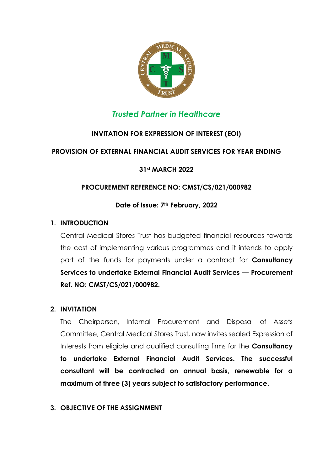

### *Trusted Partner in Healthcare*

#### **INVITATION FOR EXPRESSION OF INTEREST (EOI)**

#### **PROVISION OF EXTERNAL FINANCIAL AUDIT SERVICES FOR YEAR ENDING**

#### **31st MARCH 2022**

#### **PROCUREMENT REFERENCE NO: CMST/CS/021/000982**

#### **Date of Issue: 7th February, 2022**

#### **1. INTRODUCTION**

Central Medical Stores Trust has budgeted financial resources towards the cost of implementing various programmes and it intends to apply part of the funds for payments under a contract for **Consultancy Services to undertake External Financial Audit Services — Procurement Ref. NO: CMST/CS/021/000982.**

#### **2. INVITATION**

The Chairperson, Internal Procurement and Disposal of Assets Committee, Central Medical Stores Trust, now invites sealed Expression of Interests from eligible and qualified consulting firms for the **Consultancy to undertake External Financial Audit Services. The successful consultant will be contracted on annual basis, renewable for a maximum of three (3) years subject to satisfactory performance.** 

#### **3. OBJECTIVE OF THE ASSIGNMENT**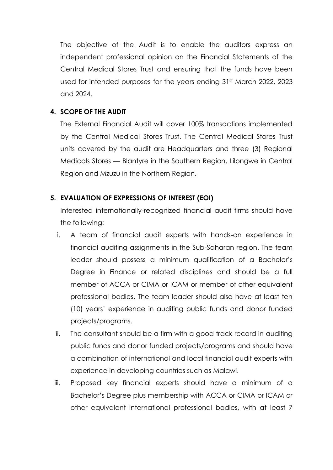The objective of the Audit is to enable the auditors express an independent professional opinion on the Financial Statements of the Central Medical Stores Trust and ensuring that the funds have been used for intended purposes for the years ending 31st March 2022, 2023 and 2024.

#### **4. SCOPE OF THE AUDIT**

The External Financial Audit will cover 100% transactions implemented by the Central Medical Stores Trust. The Central Medical Stores Trust units covered by the audit are Headquarters and three (3) Regional Medicals Stores — Blantyre in the Southern Region, Lilongwe in Central Region and Mzuzu in the Northern Region.

#### **5. EVALUATION OF EXPRESSIONS OF INTEREST (EOI)**

Interested internationally-recognized financial audit firms should have the following:

- i. A team of financial audit experts with hands-on experience in financial auditing assignments in the Sub-Saharan region. The team leader should possess a minimum qualification of a Bachelor's Degree in Finance or related disciplines and should be a full member of ACCA or CIMA or ICAM or member of other equivalent professional bodies. The team leader should also have at least ten (10) years' experience in auditing public funds and donor funded projects/programs.
- ii. The consultant should be a firm with a good track record in auditing public funds and donor funded projects/programs and should have a combination of international and local financial audit experts with experience in developing countries such as Malawi.
- iii. Proposed key financial experts should have a minimum of a Bachelor's Degree plus membership with ACCA or CIMA or ICAM or other equivalent international professional bodies, with at least 7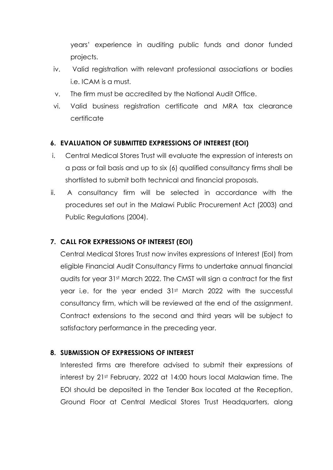years' experience in auditing public funds and donor funded projects.

- iv. Valid registration with relevant professional associations or bodies i.e. ICAM is a must.
- v. The firm must be accredited by the National Audit Office.
- vi. Valid business registration certificate and MRA tax clearance certificate

#### **6. EVALUATION OF SUBMITTED EXPRESSIONS OF INTEREST (EOI)**

- i. Central Medical Stores Trust will evaluate the expression of interests on a pass or fail basis and up to six (6) qualified consultancy firms shall be shortlisted to submit both technical and financial proposals.
- ii. A consultancy firm will be selected in accordance with the procedures set out in the Malawi Public Procurement Act (2003) and Public Regulations (2004).

#### **7. CALL FOR EXPRESSIONS OF INTEREST (EOI)**

Central Medical Stores Trust now invites expressions of Interest (EoI) from eligible Financial Audit Consultancy Firms to undertake annual financial audits for year 31st March 2022. The CMST will sign a contract for the first year i.e. for the year ended 31<sup>st</sup> March 2022 with the successful consultancy firm, which will be reviewed at the end of the assignment. Contract extensions to the second and third years will be subject to satisfactory performance in the preceding year.

#### **8. SUBMISSION OF EXPRESSIONS OF INTEREST**

Interested firms are therefore advised to submit their expressions of interest by 21st February, 2022 at 14:00 hours local Malawian time. The EOI should be deposited in the Tender Box located at the Reception, Ground Floor at Central Medical Stores Trust Headquarters, along